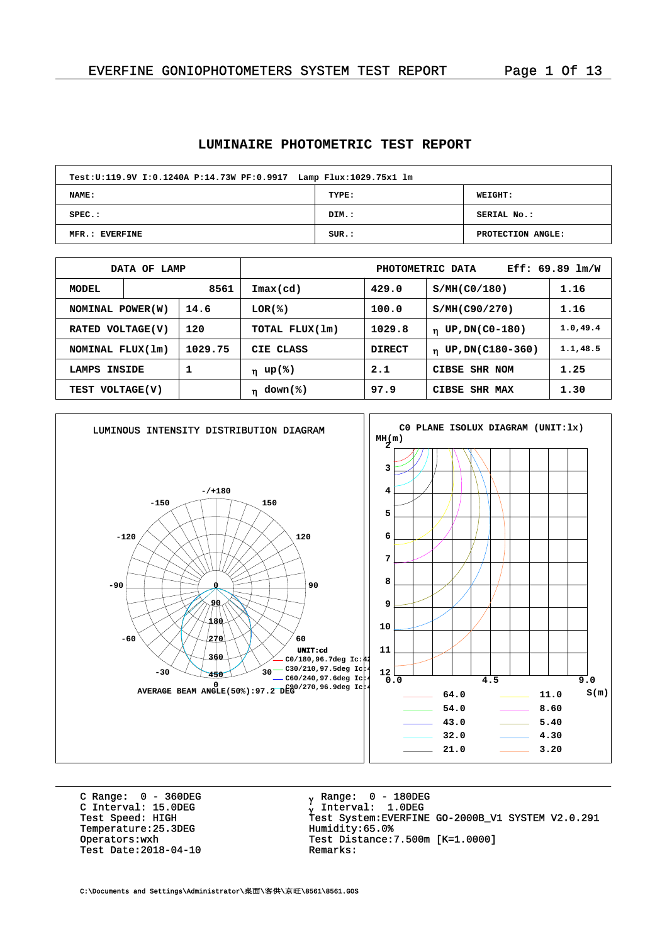#### **LUMINAIRE PHOTOMETRIC TEST REPORT**

| Test:U:119.9V I:0.1240A P:14.73W PF:0.9917 Lamp Flux:1029.75x1 lm |       |                   |  |  |  |  |  |  |  |
|-------------------------------------------------------------------|-------|-------------------|--|--|--|--|--|--|--|
| <b>NAME:</b>                                                      | TYPE: | <b>WEIGHT:</b>    |  |  |  |  |  |  |  |
| $SPEC.$ :                                                         | DIM.: | SERIAL No.:       |  |  |  |  |  |  |  |
| MFR.: EVERFINE                                                    | SUB.: | PROTECTION ANGLE: |  |  |  |  |  |  |  |

|                         | DATA OF LAMP |                | Eff: $69.89$ $lm/W$<br>PHOTOMETRIC DATA |                    |                                 |           |  |  |  |
|-------------------------|--------------|----------------|-----------------------------------------|--------------------|---------------------------------|-----------|--|--|--|
| MODEL                   | 8561         |                | $\mathtt{Imax}(\mathtt{cd})$            | 429.0              | S/MH(C0/180)                    | 1.16      |  |  |  |
| NOMINAL POWER(W)        |              | 14.6           | LOR(%)                                  | 100.0              | S/MH(C90/270)                   | 1.16      |  |  |  |
| 120<br>RATED VOLTAGE(V) |              | TOTAL FLUX(1m) | 1029.8                                  | $n$ UP, DN(C0-180) | 1.0, 49.4                       |           |  |  |  |
| NOMINAL FLUX(1m)        |              | 1029.75        | CIE CLASS                               | DIRECT             | UP, DN(C180-360)<br>$\mathbf n$ | 1.1, 48.5 |  |  |  |
| LAMPS                   | INSIDE       | 1              | η up(%)                                 | 2.1                | CIBSE SHR NOM                   | 1.25      |  |  |  |
| TEST VOLTAGE(V)         |              |                | $down$ (%)<br>n                         | 97.9               | CIBSE SHR MAX                   | 1.30      |  |  |  |



C Range: 0 - 360DEG C Interval: 15.0DEG<br>Test Speed: HIGH Temperature:25.3DEG<br>
Operators:wxh<br>  $Test Distance:$ Test Date:  $2018-04-10$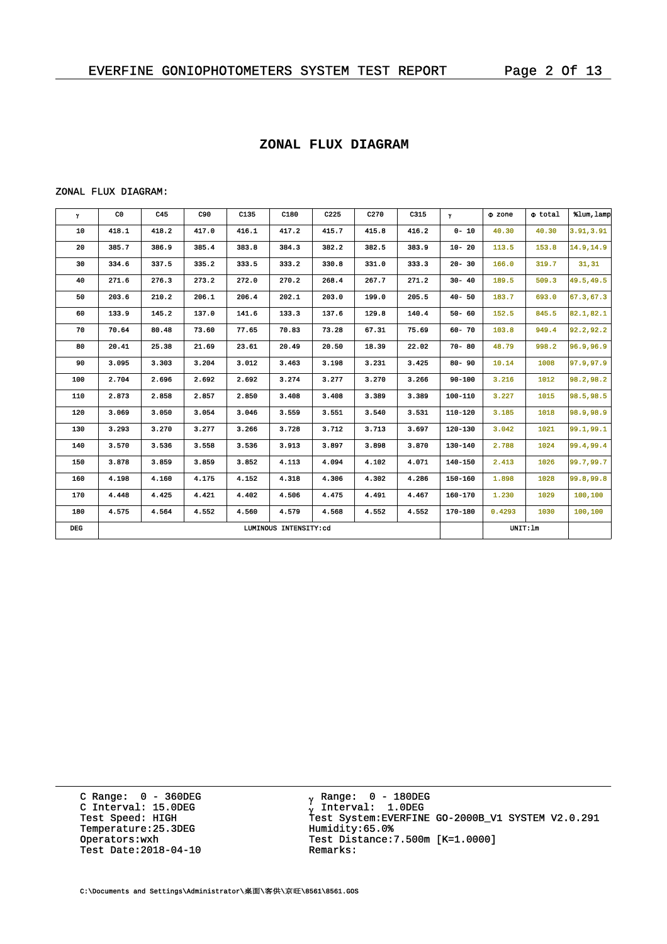## **ZONAL FLUX DIAGRAM**

#### ZONAL FLUX DIAGRAM:

| $\mathbf{Y}$ | C <sub>0</sub> | C45   | C90   | C135  | C180                  | C225  | C270  | C315  | $\gamma$  | $\Phi$ zone | $\Phi$ total | \$lum, lamp |
|--------------|----------------|-------|-------|-------|-----------------------|-------|-------|-------|-----------|-------------|--------------|-------------|
| 10           | 418.1          | 418.2 | 417.0 | 416.1 | 417.2                 | 415.7 | 415.8 | 416.2 | $0 - 10$  | 40.30       | 40.30        | 3.91,3.91   |
| 20           | 385.7          | 386.9 | 385.4 | 383.8 | 384.3                 | 382.2 | 382.5 | 383.9 | $10 - 20$ | 113.5       | 153.8        | 14.9,14.9   |
| 30           | 334.6          | 337.5 | 335.2 | 333.5 | 333.2                 | 330.8 | 331.0 | 333.3 | $20 - 30$ | 166.0       | 319.7        | 31, 31      |
| 40           | 271.6          | 276.3 | 273.2 | 272.0 | 270.2                 | 268.4 | 267.7 | 271.2 | $30 - 40$ | 189.5       | 509.3        | 49.5,49.5   |
| 50           | 203.6          | 210.2 | 206.1 | 206.4 | 202.1                 | 203.0 | 199.0 | 205.5 | $40 - 50$ | 183.7       | 693.0        | 67.3,67.3   |
| 60           | 133.9          | 145.2 | 137.0 | 141.6 | 133.3                 | 137.6 | 129.8 | 140.4 | $50 - 60$ | 152.5       | 845.5        | 82.1,82.1   |
| 70           | 70.64          | 80.48 | 73.60 | 77.65 | 70.83                 | 73.28 | 67.31 | 75.69 | $60 - 70$ | 103.8       | 949.4        | 92.2,92.2   |
| 80           | 20.41          | 25.38 | 21.69 | 23.61 | 20.49                 | 20.50 | 18.39 | 22.02 | $70 - 80$ | 48.79       | 998.2        | 96.9,96.9   |
| 90           | 3.095          | 3.303 | 3.204 | 3.012 | 3.463                 | 3.198 | 3.231 | 3.425 | $80 - 90$ | 10.14       | 1008         | 97.9,97.9   |
| 100          | 2.704          | 2.696 | 2.692 | 2.692 | 3.274                 | 3.277 | 3.270 | 3.266 | 90-100    | 3.216       | 1012         | 98.2,98.2   |
| 110          | 2.873          | 2.858 | 2.857 | 2.850 | 3.408                 | 3.408 | 3.389 | 3.389 | 100-110   | 3.227       | 1015         | 98.5,98.5   |
| 120          | 3.069          | 3.050 | 3.054 | 3.046 | 3.559                 | 3.551 | 3.540 | 3.531 | 110-120   | 3.185       | 1018         | 98.9,98.9   |
| 130          | 3.293          | 3.270 | 3.277 | 3.266 | 3.728                 | 3.712 | 3.713 | 3.697 | 120-130   | 3.042       | 1021         | 99.1,99.1   |
| 140          | 3.570          | 3.536 | 3.558 | 3.536 | 3.913                 | 3.897 | 3.898 | 3.870 | 130-140   | 2.788       | 1024         | 99.4,99.4   |
| 150          | 3.878          | 3.859 | 3.859 | 3.852 | 4.113                 | 4.094 | 4.102 | 4.071 | 140-150   | 2.413       | 1026         | 99.7,99.7   |
| 160          | 4.198          | 4.160 | 4.175 | 4.152 | 4.318                 | 4.306 | 4.302 | 4.286 | 150-160   | 1.898       | 1028         | 99.8,99.8   |
| 170          | 4.448          | 4.425 | 4.421 | 4.402 | 4.506                 | 4.475 | 4.491 | 4.467 | 160-170   | 1.230       | 1029         | 100,100     |
| 180          | 4.575          | 4.564 | 4.552 | 4.560 | 4.579                 | 4.568 | 4.552 | 4.552 | 170-180   | 0.4293      | 1030         | 100,100     |
| <b>DEC</b>   |                |       |       |       | LUMINOUS INTENSITY:cd |       |       |       |           |             | UNIT: 1m     |             |

C Range: 0 - 360DEG C Interval: 15.0DEG Temperature:25.3DEG Humidity:65.0%<br>Operators:wxh Test Distance: Test Date:  $2018-04-10$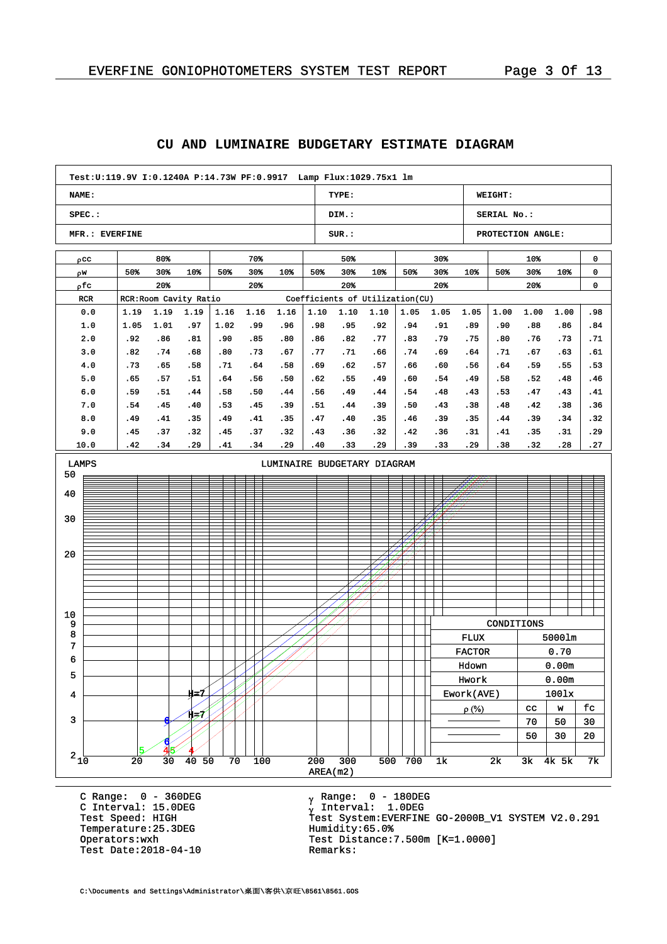|                                                                      |                                                                                                      |            |                        |             |            |            |                             |            | JBIANI                          |            |            |                |                |                   |                          |            |            |
|----------------------------------------------------------------------|------------------------------------------------------------------------------------------------------|------------|------------------------|-------------|------------|------------|-----------------------------|------------|---------------------------------|------------|------------|----------------|----------------|-------------------|--------------------------|------------|------------|
|                                                                      | Test:U:119.9V I:0.1240A P:14.73W PF:0.9917                                 Lamp Flux:1029.75x1    lm |            |                        |             |            |            |                             |            |                                 |            |            |                |                |                   |                          |            |            |
| NAME:                                                                |                                                                                                      |            |                        |             |            |            |                             |            | TYPE:                           |            |            |                |                | WEIGHT:           |                          |            |            |
|                                                                      | SPEC.:                                                                                               |            |                        |             |            |            |                             |            | DIM.:                           |            |            |                |                | SERIAL No.:       |                          |            |            |
|                                                                      | MFR.: EVERFINE                                                                                       |            |                        |             |            |            |                             |            | $SUR.$ :                        |            |            |                |                | PROTECTION ANGLE: |                          |            |            |
|                                                                      | pcc                                                                                                  |            | 80%                    |             |            | 70%        |                             |            | 50%                             |            |            | $30*$          |                |                   | 10%                      |            | 0          |
| ρw                                                                   |                                                                                                      | 50%        | 30%                    | $10*$       | 50%        | 30%        | $10*$                       | 50%        | 30%                             | $10*$      | 50%        | $30*$          | 10%            | 50%               | 30%                      | 10%        | 0          |
|                                                                      | ρfc                                                                                                  |            | 20%                    |             |            | 20%        |                             |            | $20*$                           |            |            | 20%            |                |                   | 20%                      |            | 0          |
|                                                                      | RCR                                                                                                  |            | RCR: Room Cavity Ratio |             |            |            |                             |            | Coefficients of Utilization(CU) |            |            |                |                |                   |                          |            |            |
|                                                                      | 0.0                                                                                                  | 1.19       | 1.19                   | 1.19        | 1.16       | 1.16       | 1.16                        | 1.10       | 1.10                            | 1.10       | 1.05       | 1.05           | 1.05           | 1.00              | 1.00                     | 1.00       | . 98       |
|                                                                      | 1.0                                                                                                  | 1.05       | 1.01                   | .97         | 1.02       | . 99       | .96                         | .98        | .95                             | .92        | .94        | .91            | .89            | .90               | .88                      | .86        | .84        |
|                                                                      | 2.0<br>3.0                                                                                           | .92<br>.82 | .86<br>.74             | .81<br>.68  | .90<br>.80 | .85<br>.73 | .80<br>.67                  | .86<br>.77 | .82<br>.71                      | .77<br>.66 | .83<br>.74 | . 79<br>.69    | .75<br>.64     | .80<br>.71        | .76<br>. 67              | .73<br>.63 | .71<br>.61 |
|                                                                      | 4.0                                                                                                  | . 73       | .65                    | .58         | . 71       | .64        | .58                         | .69        | .62                             | .57        | .66        | .60            | .56            | . 64              | .59                      | .55        | .53        |
|                                                                      | 5.0                                                                                                  | .65        | .57                    | .51         | . 64       | .56        | .50                         | .62        | .55                             | .49        | .60        | .54            | . 49           | .58               | .52                      | .48        | . 46       |
|                                                                      | 6.0                                                                                                  | .59        | .51                    | .44         | .58        | .50        | .44                         | .56        | .49                             | .44        | .54        | .48            | . 43           | .53               | . 47                     | . 43       | . 41       |
|                                                                      | 7.0                                                                                                  | .54        | . 45                   | .40         | .53        | .45        | . 39                        | .51        | .44                             | .39        | .50        | .43            | .38            | . 48              | . 42                     | .38        | .36        |
|                                                                      | 8.0                                                                                                  | .49        | .41                    | .35         | . 49       | .41        | .35                         | .47        | .40                             | .35        | .46        | . 39           | .35            | . 44              | .39                      | .34        | .32        |
|                                                                      | 9.0                                                                                                  | . 45       | .37                    | .32         | . 45       | .37        | .32                         | .43        | .36                             | .32        | .42        | . 36           | .31            | . 41              | . 35                     | .31        | . 29       |
|                                                                      | 10.0                                                                                                 | .42        | .34                    | . 29        | .41        | .34        | .29                         | .40        | .33                             | . 29       | .39        | .33            | . 29           | .38               | .32                      | .28        | .27        |
| <b>LAMPS</b>                                                         |                                                                                                      |            |                        |             |            |            | LUMINAIRE BUDGETARY DIAGRAM |            |                                 |            |            |                |                |                   |                          |            |            |
| 50                                                                   |                                                                                                      |            |                        |             |            |            |                             |            |                                 |            |            |                |                |                   |                          |            |            |
| 40                                                                   |                                                                                                      |            |                        |             |            |            |                             |            |                                 |            |            |                |                |                   |                          |            |            |
|                                                                      |                                                                                                      |            |                        |             |            |            |                             |            |                                 |            |            |                |                |                   |                          |            |            |
| 30                                                                   |                                                                                                      |            |                        |             |            |            |                             |            |                                 |            |            |                |                |                   |                          |            |            |
|                                                                      |                                                                                                      |            |                        |             |            |            |                             |            |                                 |            |            |                |                |                   |                          |            |            |
| 20                                                                   |                                                                                                      |            |                        |             |            |            |                             |            |                                 |            |            |                |                |                   |                          |            |            |
|                                                                      |                                                                                                      |            |                        |             |            |            |                             |            |                                 |            |            |                |                |                   |                          |            |            |
|                                                                      |                                                                                                      |            |                        |             |            |            |                             |            |                                 |            |            |                |                |                   |                          |            |            |
|                                                                      |                                                                                                      |            |                        |             |            |            |                             |            |                                 |            |            |                |                |                   |                          |            |            |
|                                                                      |                                                                                                      |            |                        |             |            |            |                             |            |                                 |            |            |                |                |                   |                          |            |            |
| 10<br>9                                                              |                                                                                                      |            |                        |             |            |            |                             |            |                                 |            |            |                |                | CONDITIONS        |                          |            |            |
| 8                                                                    |                                                                                                      |            |                        |             |            |            |                             |            |                                 |            |            |                | <b>FLUX</b>    |                   |                          | 50001m     |            |
| 7                                                                    |                                                                                                      |            |                        |             |            |            |                             |            |                                 |            |            |                | ${\tt FACTOR}$ |                   |                          | 0.70       |            |
| 6                                                                    |                                                                                                      |            |                        |             |            |            |                             |            |                                 |            |            |                | Hdown          |                   |                          | 0.00m      |            |
| 5                                                                    |                                                                                                      |            |                        |             |            |            |                             |            |                                 |            |            |                | Hwork          |                   |                          | 0.00m      |            |
| 4                                                                    |                                                                                                      |            |                        | 取つ          |            |            |                             |            |                                 |            |            |                | Ework(AVE)     |                   |                          | 1001x      |            |
|                                                                      |                                                                                                      |            |                        |             |            |            |                             |            |                                 |            |            |                | $\rho$ (%)     |                   | cc                       | W          | fс         |
| 3                                                                    |                                                                                                      |            |                        | 申ライ         |            |            |                             |            |                                 |            |            |                |                |                   | 70                       | 50         | $30\,$     |
|                                                                      |                                                                                                      |            |                        |             |            |            |                             |            |                                 |            |            |                |                |                   | 50                       | 30         | 20         |
|                                                                      |                                                                                                      |            |                        |             |            |            |                             |            |                                 |            |            |                |                |                   |                          |            |            |
| $^2$ 1 $\!\!\!\!\phantom{1\!}\stackrel{\text{\tiny{L}}}{\mathbf{0}}$ |                                                                                                      | 20         | 30                     | $40\quad50$ | 70         | 100        |                             | 200        | 300                             |            | 500 700    | 1 <sub>k</sub> |                | 2k                | $\overline{\mathbf{3k}}$ | 4k 5k      | 7k         |
|                                                                      | AREA(m2)                                                                                             |            |                        |             |            |            |                             |            |                                 |            |            |                |                |                   |                          |            |            |

# **CU AND LUMINAIRE BUDGETARY ESTIMATE DIAGRAM**

C Range: 0 - 360DEG C Interval: 15.0DEG Temperature:25.3DEG Humidity:65.0%<br>Operators:wxh Test Distance: Test Date:  $2018-04-10$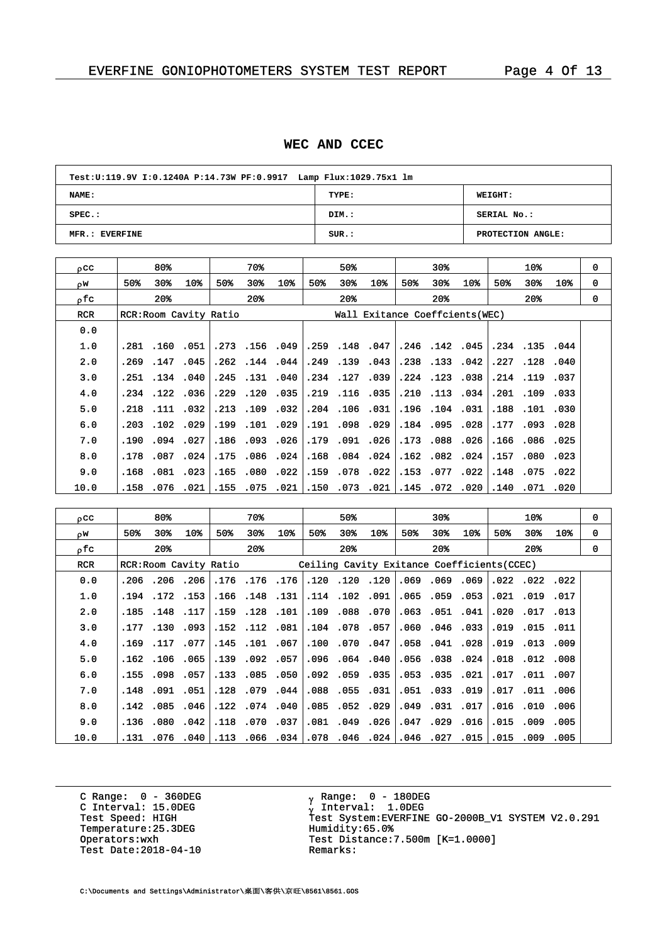#### **WEC AND CCEC**

| Test: U:119.9V I: 0.1240A P:14.73W PF: 0.9917 Lamp Flux: 1029.75x1 lm |       |                   |  |  |  |  |  |  |  |  |
|-----------------------------------------------------------------------|-------|-------------------|--|--|--|--|--|--|--|--|
| NAME:                                                                 | TYPE: | <b>WEIGHT:</b>    |  |  |  |  |  |  |  |  |
| $SPEC.$ :                                                             | DIM.: | SERIAL No.:       |  |  |  |  |  |  |  |  |
| MFR.: EVERFINE                                                        | SUR.: | PROTECTION ANGLE: |  |  |  |  |  |  |  |  |

| $_{\text{o}}$ c $_{\text{c}}$ |       | 80%            |                       |      | 70%            |              |      | 50%            |                                 |     | 30%                  |                 |      | $10\%$         |      | 0 |
|-------------------------------|-------|----------------|-----------------------|------|----------------|--------------|------|----------------|---------------------------------|-----|----------------------|-----------------|------|----------------|------|---|
| oΨ                            | 50%   | $30*$          | 10%                   | 50%  | 30%            | 10%          | 50%  | 30%            | 10 <sub>8</sub>                 | 50% | 30%                  | 10 <sub>3</sub> | 50%  | 30%            | 10%  | 0 |
| ofc.                          |       | $20*$          |                       |      | $20*$          |              |      | $20*$          |                                 |     | $20*$                |                 |      | $20*$          |      | 0 |
| RCR.                          |       |                | RCR:Room Cavity Ratio |      |                |              |      |                | Wall Exitance Coeffcients (WEC) |     |                      |                 |      |                |      |   |
| 0.0                           |       |                |                       |      |                |              |      |                |                                 |     |                      |                 |      |                |      |   |
| 1.0                           |       | .281 .160 .051 |                       |      |                | .273.156.049 |      | .259.148.047   |                                 |     |                      | .246.142.045    |      | .234.135.044   |      |   |
| 2.0                           | . 269 | .147           | .045                  |      | .262.144.044   |              |      | .249 .139 .043 |                                 |     | .238.133.042         |                 |      | .227.128.040   |      |   |
| 3.0                           |       | .251 .134 .040 |                       |      | .245.131.040   |              |      | .234.127.039   |                                 |     |                      | .224 .123 .038  |      | .214 .119 .037 |      |   |
| 4.0                           | .234  | .122.036       |                       |      | .229.120.035   |              |      | .219 .116 .035 |                                 |     | .210.113.034         |                 | .201 | .109 .033      |      |   |
| 5.0                           |       | .218 .111 .032 |                       |      | .213 .109 .032 |              |      | .204.106.031   |                                 |     | .196 .104 .031       |                 |      | .188.101.030   |      |   |
| 6.0                           | .203  |                | $.102$ $.029$         |      | .199.101.029   |              | .191 |                | .098.029                        |     | .184.095             | .028            | .177 | .093           | .028 |   |
| 7.0                           | .190  | .094.027       |                       |      | .186 .093 .026 |              | .179 |                | .091 .026                       |     | .173 .088 .026       |                 |      | .166.086.025   |      |   |
| 8.0                           | .178  | .087           | .024                  | .175 |                | .086.024     | .168 | .084.024       |                                 |     | $.162$ $.082$ $.024$ |                 | .157 | .080           | .023 |   |
| 9.0                           | .168  | $.081$ $.023$  |                       |      | .165.080       | .022         |      | .159 .078 .022 |                                 |     | .153 .077 .022       |                 |      | .148.075.022   |      |   |
| 10.0                          | .158  | .076           | .021                  | .155 | .075           | .021         | .150 | .073           | .021                            |     |                      | .145 .072 .020  | .140 | .071           | .020 |   |

| 0CC        |      | 80%                  |                |                       | 70%             |                                                             |      | 50%                  |       |      | 30%                  |                 |      | $10*$                |           | 0 |
|------------|------|----------------------|----------------|-----------------------|-----------------|-------------------------------------------------------------|------|----------------------|-------|------|----------------------|-----------------|------|----------------------|-----------|---|
| ρW         | 50%  | 30%                  | 10%            | 50%                   | 30 <sub>8</sub> | 10%                                                         | 50%  | 30%                  | $10*$ | 50%  | 30%                  | 10 <sub>8</sub> | 50%  | 30%                  | 10%       | 0 |
| ofc.       |      | 20%                  |                |                       | $20*$           |                                                             |      | $20*$                |       |      | $20*$                |                 |      | $20*$                |           | 0 |
| <b>RCR</b> |      |                      |                | RCR:Room Cavity Ratio |                 | Ceiling Cavity Exitance Coefficients(CCEC)                  |      |                      |       |      |                      |                 |      |                      |           |   |
| 0.0        | .206 |                      | .206.206       |                       |                 | .176 .176 .176                                              |      | .120 .120 .120       |       |      | .069.069             | .069            |      | $.022$ $.022$ $.022$ |           |   |
| 1.0        |      | .194.172.153         |                |                       | .166 .148 .131  |                                                             |      | .114 .102 .091       |       |      | .065.059.053         |                 |      | .021 .019 .017       |           |   |
| 2.0        | .185 |                      | .148.117       |                       | .159.128.101    |                                                             | .109 | .088                 | .070  | .063 |                      | .051 .041       | .020 | .017                 | .013      |   |
| 3.0        |      | .177.130.093         |                |                       | .152 .112 .081  |                                                             |      | .104.078.057         |       |      | $.060$ $.046$ $.033$ |                 |      | .019 .015 .011       |           |   |
| 4.0        | .169 |                      | .117.077       |                       | .145.101.067    |                                                             | .100 | .070.047             |       |      |                      | .058.041.028    | .019 |                      | .013 .009 |   |
| 5.0        |      | $.162$ $.106$ $.065$ |                |                       | .139.092.057    |                                                             |      | .096.064.040         |       |      |                      | .056 .038 .024  |      | .018.012.008         |           |   |
| 6.0        | .155 | .098                 | .057           | .133                  | .085.050        |                                                             |      | $.092$ $.059$ $.035$ |       | .053 |                      | .035.021        | .017 |                      | .011 .007 |   |
| 7.0        | .148 |                      | .091 .051      |                       |                 | .128 .079 .044                                              |      | .088.055.031         |       |      |                      | .051 .033 .019  |      | .017 .011 .006       |           |   |
| 8.0        | .142 | .085                 | .046           |                       | .122 .074 .040  |                                                             | .085 | .052.029             |       | .049 |                      | .031 .017       | .016 | .010                 | .006      |   |
| 9.0        | .136 |                      | $.080$ . 042 . |                       | .118 .070 .037  |                                                             |      | .081.049.026         |       |      |                      | .047.029.016    |      | .015 .009 .005       |           |   |
| 10.0       | .131 |                      |                |                       |                 | .015 .027 .046 .024 .046 .046 .046 .024 .040 .076 .076 .076 |      |                      |       |      |                      |                 |      | .015 .009 .005       |           |   |

C Range: 0 - 360DEG C Interval: 15.0DEG<br>Test Speed: HIGH Temperature:25.3DEG Humidity:65.0%<br>Operators:wxh Test Distance: Test Date:  $2018-04-10$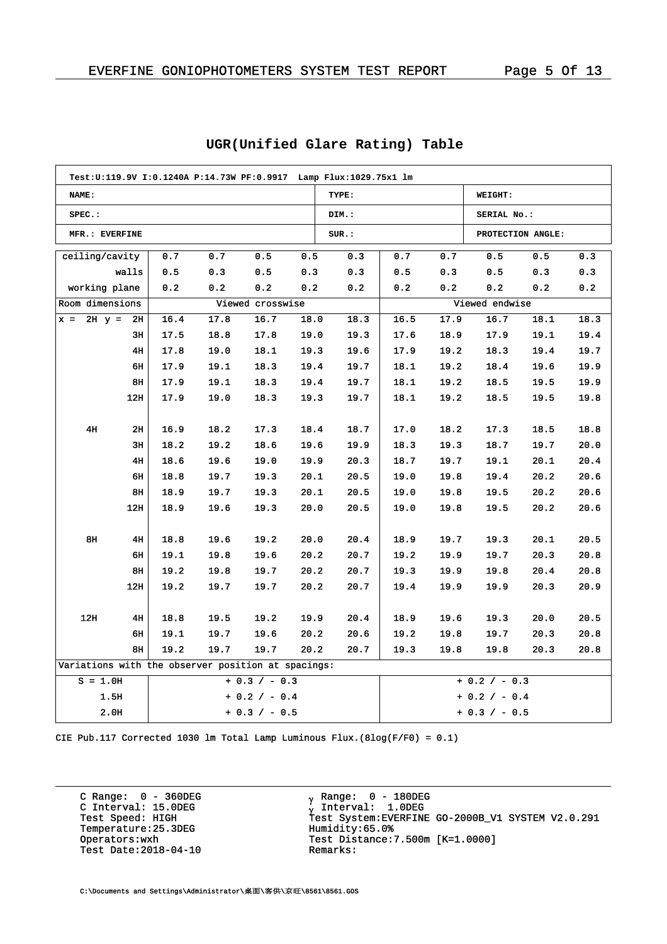| Test:U:119.9V I:0.1240A P:14.73W PF:0.9917 Lamp Flux:1029.75x1 lm |                         |      |      |                  |      |                 |                 |      |                   |      |      |
|-------------------------------------------------------------------|-------------------------|------|------|------------------|------|-----------------|-----------------|------|-------------------|------|------|
| NAME:                                                             |                         |      |      |                  |      | TYPE:           |                 |      | WEIGHT:           |      |      |
| $SPEC.$ :                                                         |                         |      |      |                  |      | DIM.:           |                 |      | SERIAL No.:       |      |      |
| MFR.: EVERFINE                                                    |                         |      |      |                  |      | SUR.:           |                 |      | PROTECTION ANGLE: |      |      |
| ceiling/cavity                                                    |                         | 0.7  | 0.7  | 0.5              | 0.5  | 0.3             | 0.7             | 0.7  | 0.5               | 0.5  | 0.3  |
|                                                                   | walls                   | 0.5  | 0.3  | 0.5              | 0.3  | 0.3             | 0.5             | 0.3  | 0.5               | 0.3  | 0.3  |
| working plane                                                     |                         | 0.2  | 0.2  | 0.2              | 0.2  | 0.2             | 0.2             | 0.2  | 0.2               | 0.2  | 0.2  |
| Room dimensions                                                   |                         |      |      | Viewed crosswise |      |                 |                 |      | Viewed endwise    |      |      |
| $2H y =$<br>$x =$                                                 | 2H                      | 16.4 | 17.8 | 16.7             | 18.0 | 18.3            | 16.5            | 17.9 | 16.7              | 18.1 | 18.3 |
|                                                                   | 3H                      | 17.5 | 18.8 | 17.8             | 19.0 | 19.3            | 17.6            | 18.9 | 17.9              | 19.1 | 19.4 |
|                                                                   | 4H                      | 17.8 | 19.0 | 18.1             | 19.3 | 19.6            | 17.9            | 19.2 | 18.3              | 19.4 | 19.7 |
|                                                                   | 6н                      | 17.9 | 19.1 | 18.3             | 19.4 | 19.7            | 18.1            | 19.2 | 18.4              | 19.6 | 19.9 |
|                                                                   | 8H                      | 17.9 | 19.1 | 18.3             | 19.4 | 19.7            | 18.1            | 19.2 | 18.5              | 19.5 | 19.9 |
|                                                                   | 12H                     | 17.9 | 19.0 | 18.3             | 19.3 | 19.7            | 18.1            | 19.2 | 18.5              | 19.5 | 19.8 |
|                                                                   |                         |      |      |                  |      |                 |                 |      |                   |      |      |
| 4H                                                                | 2H                      | 16.9 | 18.2 | 17.3             | 18.4 | 18.7            | 17.0            | 18.2 | 17.3              | 18.5 | 18.8 |
|                                                                   | 3H                      | 18.2 | 19.2 | 18.6             | 19.6 | 19.9            | 18.3            | 19.3 | 18.7              | 19.7 | 20.0 |
|                                                                   | 4H                      | 18.6 | 19.6 | 19.0             | 19.9 | 20.3            | 18.7            | 19.7 | 19.1              | 20.1 | 20.4 |
|                                                                   | 6н                      | 18.8 | 19.7 | 19.3             | 20.1 | 20.5            | 19.0            | 19.8 | 19.4              | 20.2 | 20.6 |
|                                                                   | 8H                      | 18.9 | 19.7 | 19.3             | 20.1 | 20.5            | 19.0            | 19.8 | 19.5              | 20.2 | 20.6 |
|                                                                   | 12H                     | 18.9 | 19.6 | 19.3             | 20.0 | 20.5            | 19.0            | 19.8 | 19.5              | 20.2 | 20.6 |
|                                                                   |                         |      |      |                  |      |                 |                 |      |                   |      |      |
| 8н                                                                | 4H                      | 18.8 | 19.6 | 19.2             | 20.0 | 20.4            | 18.9            | 19.7 | 19.3              | 20.1 | 20.5 |
|                                                                   | 6н                      | 19.1 | 19.8 | 19.6             | 20.2 | 20.7            | 19.2            | 19.9 | 19.7              | 20.3 | 20.8 |
|                                                                   | 8н                      | 19.2 | 19.8 | 19.7             | 20.2 | 20.7            | 19.3            | 19.9 | 19.8              | 20.4 | 20.8 |
|                                                                   | 12H                     | 19.2 | 19.7 | 19.7             | 20.2 | 20.7            | 19.4            | 19.9 | 19.9              | 20.3 | 20.9 |
|                                                                   |                         |      |      |                  |      |                 |                 |      |                   |      |      |
| 12H                                                               | 4H                      | 18.8 | 19.5 | 19.2             | 19.9 | 20.4            | 18.9            | 19.6 | 19.3              | 20.0 | 20.5 |
|                                                                   | 6н                      | 19.1 | 19.7 | 19.6             | 20.2 | 20.6            | 19.2            | 19.8 | 19.7              | 20.3 | 20.8 |
| 19.2<br>8н<br>19.7<br>19.7<br>20.2                                |                         |      |      |                  |      | 20.7            | 19.3            | 19.8 | 19.8              | 20.3 | 20.8 |
| Variations with the observer position at spacings:                |                         |      |      |                  |      |                 |                 |      |                   |      |      |
| $+ 0.3 / - 0.3$<br>$S = 1.0H$                                     |                         |      |      |                  |      |                 | $+ 0.2 / - 0.3$ |      |                   |      |      |
| 1.5H<br>$+ 0.2 / - 0.4$                                           |                         |      |      |                  |      | $+ 0.2 / - 0.4$ |                 |      |                   |      |      |
|                                                                   | 2.0H<br>$+ 0.3 / - 0.5$ |      |      |                  |      |                 |                 |      | $+ 0.3 / - 0.5$   |      |      |

# **UGR(Unified Glare Rating) Table**

CIE Pub.117 Corrected 1030 lm Total Lamp Luminous Flux.(8log(F/F0) = 0.1)

C Range: 0 - 360DEG C Interval: 15.0DEG<br>Test Speed: HIGH Temperature:25.3DEG Humidity:65.0%<br>Operators:wxh Test Distance: Test Date:  $2018-04-10$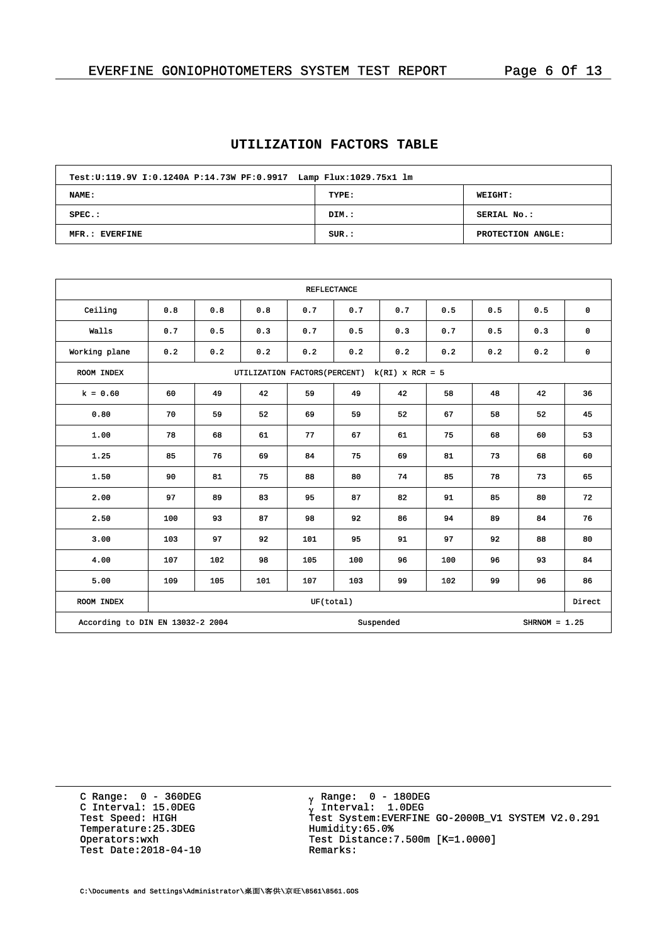# **UTILIZATION FACTORS TABLE**

| Test: U:119.9V I: 0.1240A P:14.73W PF: 0.9917 Lamp Flux: 1029.75x1 lm |       |                   |  |  |  |  |  |  |  |
|-----------------------------------------------------------------------|-------|-------------------|--|--|--|--|--|--|--|
| <b>NAME:</b>                                                          | TYPE: | <b>WEIGHT:</b>    |  |  |  |  |  |  |  |
| $SPEC.$ :                                                             | DIM.: | SERIAL No.:       |  |  |  |  |  |  |  |
| MFR.: EVERFINE                                                        | SUR.: | PROTECTION ANGLE: |  |  |  |  |  |  |  |

| <b>REFLECTANCE</b>               |     |                                                    |     |           |     |           |     |     |                 |             |  |  |
|----------------------------------|-----|----------------------------------------------------|-----|-----------|-----|-----------|-----|-----|-----------------|-------------|--|--|
| Ceiling                          | 0.8 | 0.8                                                | 0.8 | 0.7       | 0.7 | 0.7       | 0.5 | 0.5 | 0.5             | $\mathbf 0$ |  |  |
| Walls                            | 0.7 | 0.5                                                | 0.3 | 0.7       | 0.5 | 0.3       | 0.7 | 0.5 | 0.3             | $\mathbf 0$ |  |  |
| Working plane                    | 0.2 | 0.2                                                | 0.2 | 0.2       | 0.2 | 0.2       | 0.2 | 0.2 | 0.2             | $\mathbf 0$ |  |  |
| ROOM INDEX                       |     | UTILIZATION FACTORS (PERCENT)<br>$k(RI)$ x RCR = 5 |     |           |     |           |     |     |                 |             |  |  |
| $k = 0.60$                       | 60  | 49                                                 | 42  | 59        | 49  | 42        | 58  | 48  | 42              | 36          |  |  |
| 0.80                             | 70  | 59                                                 | 52  | 69        | 59  | 52        | 67  | 58  | 52              | 45          |  |  |
| 1.00                             | 78  | 68                                                 | 61  | 77        | 67  | 61        | 75  | 68  | 60              | 53          |  |  |
| 1.25                             | 85  | 76                                                 | 69  | 84        | 75  | 69        | 81  | 73  | 68              | 60          |  |  |
| 1.50                             | 90  | 81                                                 | 75  | 88        | 80  | 74        | 85  | 78  | 73              | 65          |  |  |
| 2.00                             | 97  | 89                                                 | 83  | 95        | 87  | 82        | 91  | 85  | 80              | 72          |  |  |
| 2.50                             | 100 | 93                                                 | 87  | 98        | 92  | 86        | 94  | 89  | 84              | 76          |  |  |
| 3.00                             | 103 | 97                                                 | 92  | 101       | 95  | 91        | 97  | 92  | 88              | 80          |  |  |
| 4.00                             | 107 | 102                                                | 98  | 105       | 100 | 96        | 100 | 96  | 93              | 84          |  |  |
| 5.00                             | 109 | 105                                                | 101 | 107       | 103 | 99        | 102 | 99  | 96              | 86          |  |  |
| ROOM INDEX                       |     |                                                    |     | UF(total) |     |           |     |     |                 | Direct      |  |  |
| According to DIN EN 13032-2 2004 |     |                                                    |     |           |     | Suspended |     |     | $SHRNOM = 1.25$ |             |  |  |

C Range: 0 - 360DEG C Interval: 15.0DEG<br>Test Speed: HIGH Temperature:25.3DEG Humidity:65.0%<br>Operators:wxh Test Distance: Test Date:  $2018-04-10$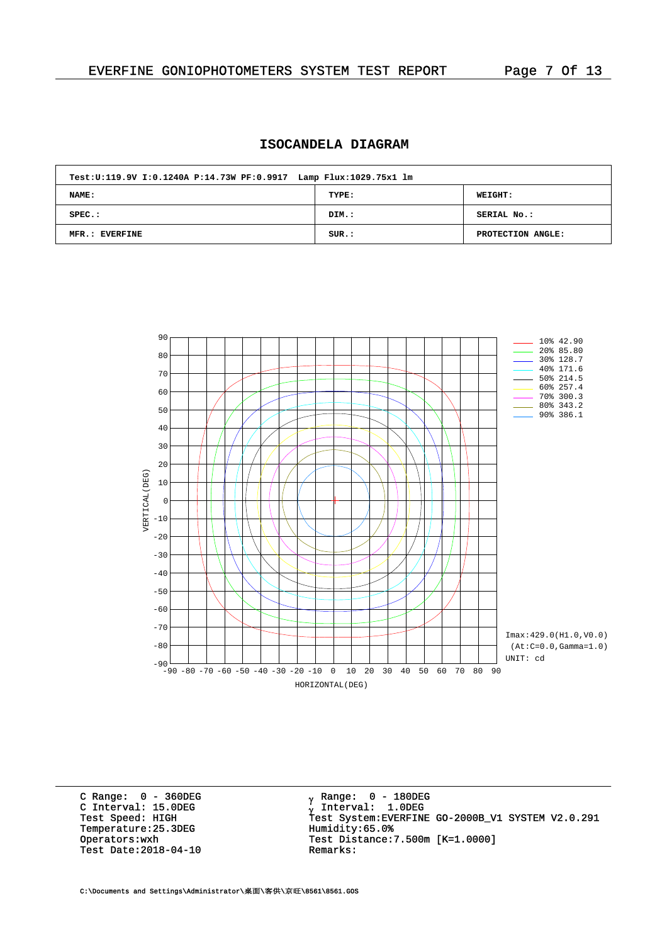# **ISOCANDELA DIAGRAM**

| Test: U:119.9V I: 0.1240A P:14.73W PF: 0.9917 Lamp Flux: 1029.75x1 lm |       |                   |  |  |  |  |  |  |
|-----------------------------------------------------------------------|-------|-------------------|--|--|--|--|--|--|
| <b>NAME:</b>                                                          | TYPE: | <b>WEIGHT:</b>    |  |  |  |  |  |  |
| $SPEC.$ :                                                             | DIM.: | SERIAL No.:       |  |  |  |  |  |  |
| MFR.: EVERFINE                                                        | SUR.: | PROTECTION ANGLE: |  |  |  |  |  |  |



C Range: 0 - 360DEG C Interval: 15.0DEG<br>Test Speed: HIGH Temperature:25.3DEG Humidity:65.0%<br>Operators:wxh Test Distance: Test Date:  $2018-04-10$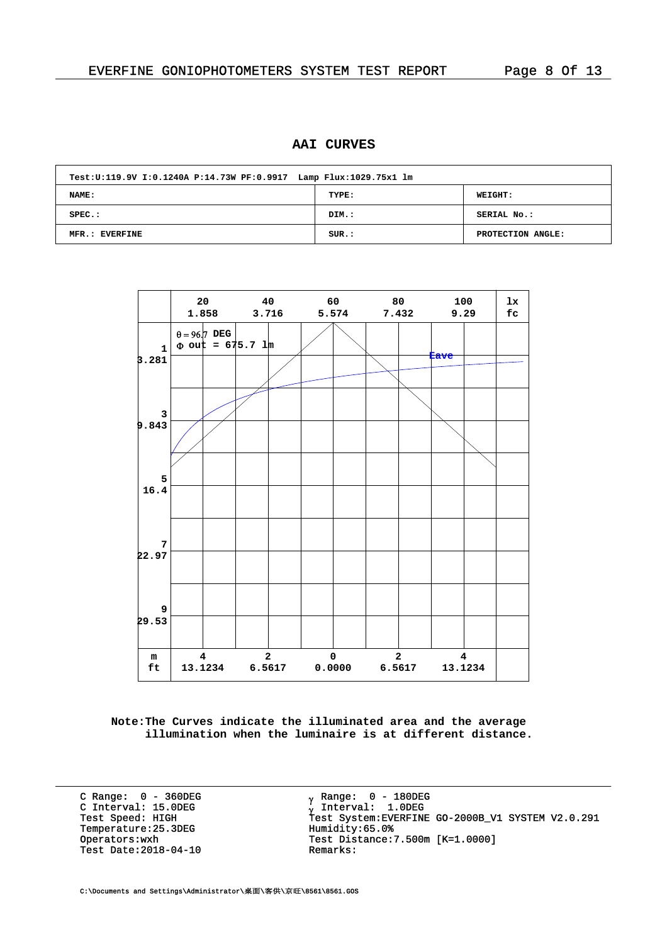## **AAI CURVES**

| Test: U:119.9V I: 0.1240A P:14.73W PF: 0.9917 Lamp Flux: 1029.75x1 lm |       |                   |  |  |  |  |  |  |
|-----------------------------------------------------------------------|-------|-------------------|--|--|--|--|--|--|
| <b>NAME:</b>                                                          | TYPE: | <b>WEIGHT:</b>    |  |  |  |  |  |  |
| $SPEC.$ :                                                             | DIM.: | SERIAL No.:       |  |  |  |  |  |  |
| MFR.: EVERFINE                                                        | SUR.: | PROTECTION ANGLE: |  |  |  |  |  |  |



**Note:The Curves indicate the illuminated area and the average illumination when the luminaire is at different distance.**

C Range: 0 - 360DEG C Interval: 15.0DEG<br>Test Speed: HIGH Temperature:25.3DEG Humidity:65.0%<br>Operators:wxh Test Distance: Test Date:  $2018-04-10$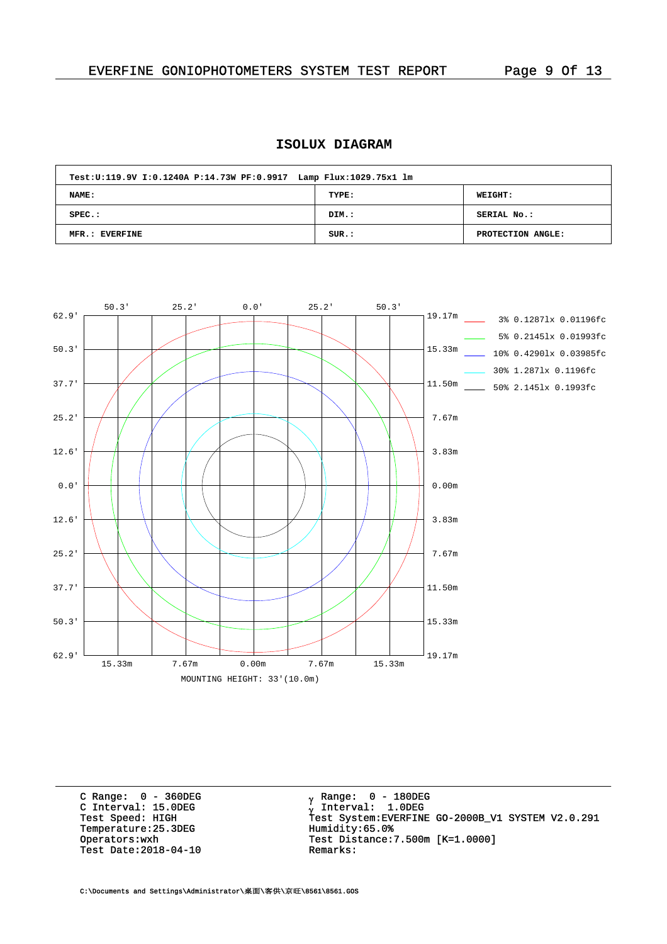# **ISOLUX DIAGRAM**

| Test: U:119.9V I: 0.1240A P:14.73W PF: 0.9917 Lamp Flux: 1029.75x1 lm |       |                   |  |  |  |  |  |  |  |  |  |
|-----------------------------------------------------------------------|-------|-------------------|--|--|--|--|--|--|--|--|--|
| NAME:                                                                 | TYPE: | <b>WEIGHT:</b>    |  |  |  |  |  |  |  |  |  |
| $SPEC.$ :                                                             | DIM.: | SERIAL No.:       |  |  |  |  |  |  |  |  |  |
| MFR.: EVERFINE                                                        | SUR.: | PROTECTION ANGLE: |  |  |  |  |  |  |  |  |  |



C Range: 0 - 360DEG C Interval: 15.0DEG<br>Test Speed: HIGH Temperature:25.3DEG Humidity:65.0%<br>Operators:wxh Test Distance: Test Date:  $2018-04-10$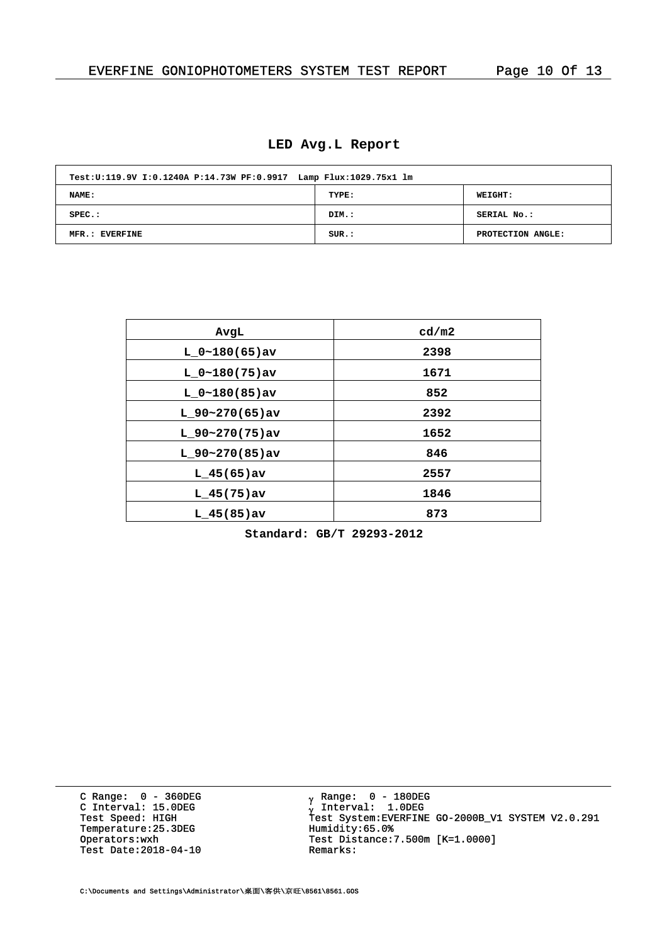#### **LED Avg.L Report**

| Test: U:119.9V I: 0.1240A P:14.73W PF: 0.9917 Lamp Flux: 1029.75x1 lm |       |                   |  |  |  |  |  |  |  |  |  |
|-----------------------------------------------------------------------|-------|-------------------|--|--|--|--|--|--|--|--|--|
| NAME:                                                                 | TYPE: | <b>WEIGHT:</b>    |  |  |  |  |  |  |  |  |  |
| $SPEC.$ :                                                             | DIM.: | SERIAL No.:       |  |  |  |  |  |  |  |  |  |
| MFR.: EVERFINE                                                        | SUR.: | PROTECTION ANGLE: |  |  |  |  |  |  |  |  |  |

| AvgL              | cd/m2 |
|-------------------|-------|
| $L_0~180(65)$ av  | 2398  |
| L $0~180(75)$ av  | 1671  |
| $L_0~180(85)$ av  | 852   |
| $L_90-270(65)$ av | 2392  |
| $L$ 90~270(75)av  | 1652  |
| $L_90-270(85)$ av | 846   |
| $L_45(65)$ av     | 2557  |
| $L_{145(75)av}$   | 1846  |
| $L$ 45(85) av     | 873   |

**Standard: GB/T 29293-2012**

C Range: 0 - 360DEG C Interval: 15.0DEG<br>Test Speed: HIGH Temperature:25.3DEG Humidity:65.0%<br>Operators:wxh Test Distance: Test Date:  $2018-04-10$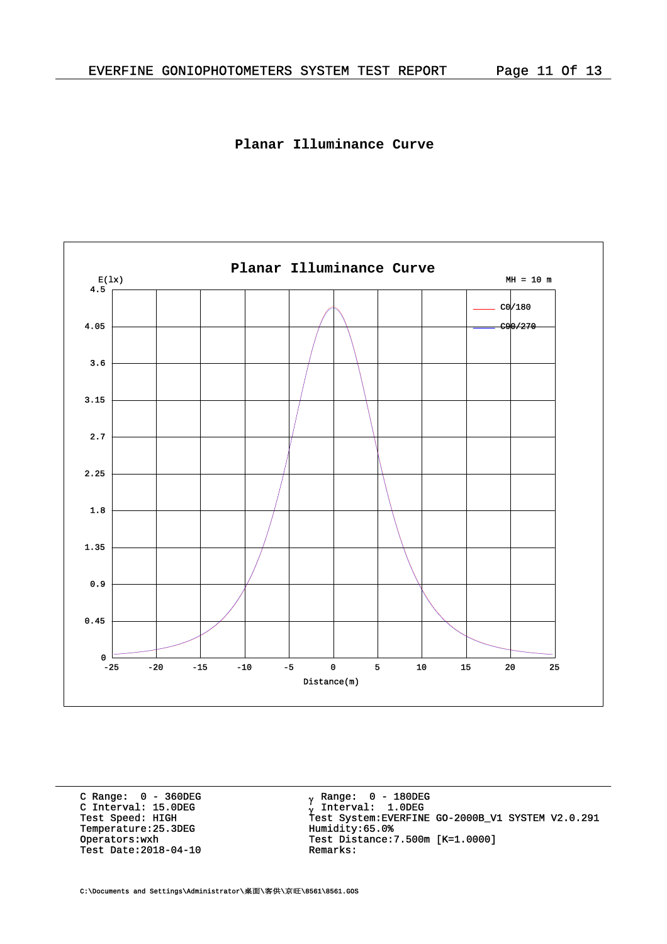# **Planar Illuminance Curve**



C Range: 0 - 360DEG C Interval: 15.0DEG<br>Test Speed: HIGH Temperature:25.3DEG Humidity:65.0%<br>Operators:wxh Test Distance: Test Date:  $2018-04-10$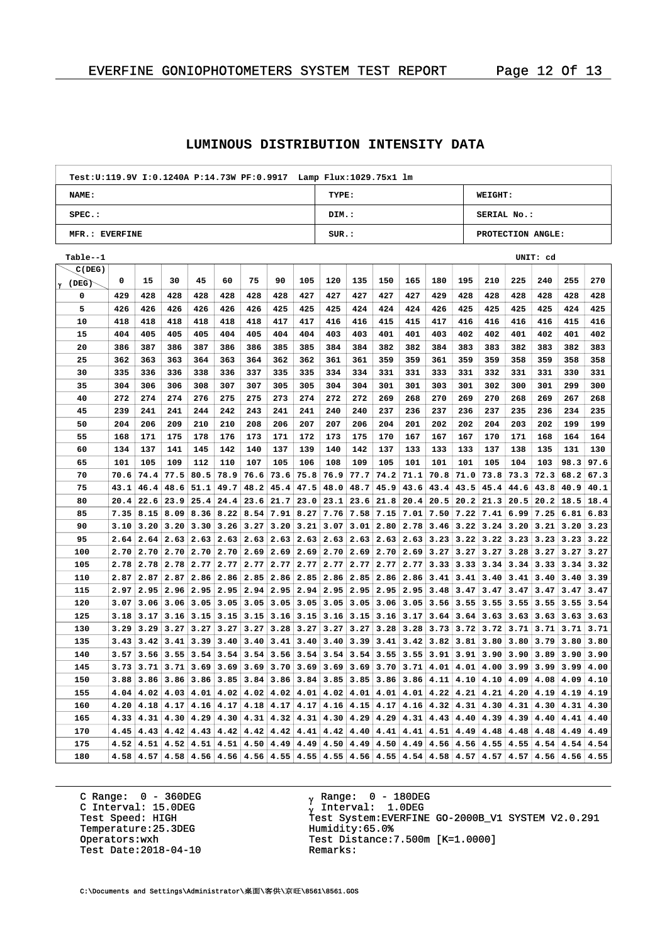#### **LUMINOUS DISTRIBUTION INTENSITY DATA**

| Test: U:119.9V I: 0.1240A P: 14.73W PF: 0.9917 Lamp Flux: 1029.75x1 lm |          |                   |  |  |  |  |  |  |  |  |  |
|------------------------------------------------------------------------|----------|-------------------|--|--|--|--|--|--|--|--|--|
| NAME:                                                                  | TYPE:    | <b>WEIGHT:</b>    |  |  |  |  |  |  |  |  |  |
| $SPEC.$ :                                                              | DIM.:    | SERIAL No.:       |  |  |  |  |  |  |  |  |  |
| MFR.: EVERFINE                                                         | $SUR.$ : | PROTECTION ANGLE: |  |  |  |  |  |  |  |  |  |

| Table--1 |      |      |      |                          |      |      |      |      |      |      |      |      |      |                  |      |      | UNIT: cd |      |      |
|----------|------|------|------|--------------------------|------|------|------|------|------|------|------|------|------|------------------|------|------|----------|------|------|
| C(DEG)   |      |      |      |                          |      |      |      |      |      |      |      |      |      |                  |      |      |          |      |      |
| ່γ (DEG) | 0    | 15   | 30   | 45                       | 60   | 75   | 90   | 105  | 120  | 135  | 150  | 165  | 180  | 195              | 210  | 225  | 240      | 255  | 270  |
| 0        | 429  | 428  | 428  | 428                      | 428  | 428  | 428  | 427  | 427  | 427  | 427  | 427  | 429  | 428              | 428  | 428  | 428      | 428  | 428  |
| 5        | 426  | 426  | 426  | 426                      | 426  | 426  | 425  | 425  | 425  | 424  | 424  | 424  | 426  | 425              | 425  | 425  | 425      | 424  | 425  |
| 10       | 418  | 418  | 418  | 418                      | 418  | 418  | 417  | 417  | 416  | 416  | 415  | 415  | 417  | 416              | 416  | 416  | 416      | 415  | 416  |
| 15       | 404  | 405  | 405  | 405                      | 404  | 405  | 404  | 404  | 403  | 403  | 401  | 401  | 403  | 402              | 402  | 401  | 402      | 401  | 402  |
| 20       | 386  | 387  | 386  | 387                      | 386  | 386  | 385  | 385  | 384  | 384  | 382  | 382  | 384  | 383              | 383  | 382  | 383      | 382  | 383  |
| 25       | 362  | 363  | 363  | 364                      | 363  | 364  | 362  | 362  | 361  | 361  | 359  | 359  | 361  | 359              | 359  | 358  | 359      | 358  | 358  |
| 30       | 335  | 336  | 336  | 338                      | 336  | 337  | 335  | 335  | 334  | 334  | 331  | 331  | 333  | 331              | 332  | 331  | 331      | 330  | 331  |
| 35       | 304  | 306  | 306  | 308                      | 307  | 307  | 305  | 305  | 304  | 304  | 301  | 301  | 303  | 301              | 302  | 300  | 301      | 299  | 300  |
| 40       | 272  | 274  | 274  | 276                      | 275  | 275  | 273  | 274  | 272  | 272  | 269  | 268  | 270  | 269              | 270  | 268  | 269      | 267  | 268  |
| 45       | 239  | 241  | 241  | 244                      | 242  | 243  | 241  | 241  | 240  | 240  | 237  | 236  | 237  | 236              | 237  | 235  | 236      | 234  | 235  |
| 50       | 204  | 206  | 209  | 210                      | 210  | 208  | 206  | 207  | 207  | 206  | 204  | 201  | 202  | 202              | 204  | 203  | 202      | 199  | 199  |
| 55       | 168  | 171  | 175  | 178                      | 176  | 173  | 171  | 172  | 173  | 175  | 170  | 167  | 167  | 167              | 170  | 171  | 168      | 164  | 164  |
| 60       | 134  | 137  | 141  | 145                      | 142  | 140  | 137  | 139  | 140  | 142  | 137  | 133  | 133  | 133              | 137  | 138  | 135      | 131  | 130  |
| 65       | 101  | 105  | 109  | 112                      | 110  | 107  | 105  | 106  | 108  | 109  | 105  | 101  | 101  | 101              | 105  | 104  | 103      | 98.3 | 97.6 |
| 70       | 70.6 | 74.4 | 77.5 | 80.5                     | 78.9 | 76.6 | 73.6 | 75.8 | 76.9 | 77.7 | 74.2 | 71.1 | 70.8 | 71.0             | 73.8 | 73.3 | 72.3     | 68.2 | 67.3 |
| 75       | 43.1 | 46.4 | 48.6 | 51.1                     | 49.7 | 48.2 | 45.4 | 47.5 | 48.0 | 48.7 | 45.9 | 43.6 | 43.4 | 43.5             | 45.4 | 44.6 | 43.8     | 40.9 | 40.1 |
| 80       | 20.4 | 22.6 | 23.9 | 25.4                     | 24.4 | 23.6 | 21.7 | 23.0 | 23.1 | 23.6 | 21.8 | 20.4 | 20.5 | 20.2             | 21.3 | 20.5 | 20.2     | 18.5 | 18.4 |
| 85       | 7.35 | 8.15 | 8.09 | 8.36                     | 8.22 | 8.54 | 7.91 | 8.27 | 7.76 | 7.58 | 7.15 | 7.01 | 7.50 | 7.22             | 7.41 | 6.99 | 7.25     | 6.81 | 6.83 |
| 90       | 3.10 | 3.20 | 3.20 | 3.30                     | 3.26 | 3.27 | 3.20 | 3.21 | 3.07 | 3.01 | 2.80 | 2.78 | 3.46 | 3.22             | 3.24 | 3.20 | 3.21     | 3.20 | 3.23 |
| 95       | 2.64 | 2.64 |      | $2.63$   2.63            | 2.63 | 2.63 | 2.63 | 2.63 | 2.63 | 2.63 | 2.63 | 2.63 | 3.23 | 3.22             | 3.22 | 3.23 | 3.23     | 3.23 | 3.22 |
| 100      | 2.70 | 2.70 | 2.70 | 2.70                     | 2.70 | 2.69 | 2.69 | 2.69 | 2.70 | 2.69 | 2.70 | 2.69 | 3.27 | 3.27             | 3.27 | 3.28 | 3.27     | 3.27 | 3.27 |
| 105      | 2.78 | 2.78 | 2.78 | 2.77                     | 2.77 | 2.77 | 2.77 | 2.77 | 2.77 | 2.77 | 2.77 | 2.77 | 3.33 | 3.33             | 3.34 | 3.34 | 3.33     | 3.34 | 3.32 |
| 110      | 2.87 | 2.87 | 2.87 | 2.86                     | 2.86 | 2.85 | 2.86 | 2.85 | 2.86 | 2.85 | 2.86 | 2.86 | 3.41 | 3.41             | 3.40 | 3.41 | 3.40     | 3.40 | 3.39 |
| 115      | 2.97 | 2.95 | 2.96 | 2.95                     | 2.95 | 2.94 | 2.95 | 2.94 | 2.95 | 2.95 | 2.95 | 2.95 | 3.48 | 3.47             | 3.47 | 3.47 | 3.47     | 3.47 | 3.47 |
| 120      | 3.07 | 3.06 | 3.06 | 3.05                     | 3.05 | 3.05 | 3.05 | 3.05 | 3.05 | 3.05 | 3.06 | 3.05 | 3.56 | 3.55             | 3.55 | 3.55 | 3.55     | 3.55 | 3.54 |
| 125      | 3.18 | 3.17 | 3.16 | 3.15                     | 3.15 | 3.15 | 3.16 | 3.15 | 3.16 | 3.15 | 3.16 | 3.17 | 3.64 | 3.64             | 3.63 | 3.63 | 3.63     | 3.63 | 3.63 |
| 130      | 3.29 | 3.29 | 3.27 | 3.27                     | 3.27 | 3.27 | 3.28 | 3.27 | 3.27 | 3.27 | 3.28 | 3.28 | 3.73 | 3.72             | 3.72 | 3.71 | 3.71     | 3.71 | 3.71 |
| 135      | 3.43 | 3.42 | 3.41 | 3.39                     | 3.40 | 3.40 | 3.41 | 3.40 | 3.40 | 3.39 | 3.41 | 3.42 | 3.82 | 3.81             | 3.80 | 3.80 | 3.79     | 3.80 | 3.80 |
| 140      | 3.57 | 3.56 |      | $3.55$   3.54            | 3.54 | 3.54 | 3.56 | 3.54 | 3.54 | 3.54 | 3.55 | 3.55 | 3.91 | 3.91             | 3.90 | 3.90 | 3.89     | 3.90 | 3.90 |
| 145      | 3.73 | 3.71 | 3.71 | 3.69                     | 3.69 | 3.69 | 3.70 | 3.69 | 3.69 | 3.69 | 3.70 | 3.71 | 4.01 | 4.01             | 4.00 | 3.99 | 3.99     | 3.99 | 4.00 |
| 150      | 3.88 | 3.86 | 3.86 | 3.86                     | 3.85 | 3.84 | 3.86 | 3.84 | 3.85 | 3.85 | 3.86 | 3.86 | 4.11 | 4.10             | 4.10 | 4.09 | 4.08     | 4.09 | 4.10 |
| 155      | 4.04 | 4.02 | 4.03 | 4.01                     | 4.02 | 4.02 | 4.02 | 4.01 | 4.02 | 4.01 | 4.01 | 4.01 | 4.22 | 4.21             | 4.21 | 4.20 | 4.19     | 4.19 | 4.19 |
| 160      | 4.20 | 4.18 | 4.17 | 4.16                     | 4.17 | 4.18 | 4.17 | 4.17 | 4.16 | 4.15 | 4.17 | 4.16 | 4.32 | 4.31             | 4.30 | 4.31 | 4.30     | 4.31 | 4.30 |
| 165      | 4.33 | 4.31 | 4.30 | 4.29                     | 4.30 | 4.31 | 4.32 | 4.31 | 4.30 | 4.29 | 4.29 | 4.31 | 4.43 | 4.40             | 4.39 | 4.39 | 4.40     | 4.41 | 4.40 |
| 170      | 4.45 | 4.43 | 4.42 | 4.43                     | 4.42 | 4.42 | 4.42 | 4.41 | 4.42 | 4.40 | 4.41 | 4.41 | 4.51 | 4.49             | 4.48 | 4.48 | 4.48     | 4.49 | 4.49 |
| 175      | 4.52 | 4.51 | 4.52 | 4.51                     | 4.51 | 4.50 | 4.49 | 4.49 | 4.50 | 4.49 | 4.50 | 4.49 | 4.56 | 4.56             | 4.55 | 4.55 | 4.54     | 4.54 | 4.54 |
| 180      | 4.58 | 4.57 |      | $4.58$   $4.56$   $4.56$ |      | 4.56 | 4.55 | 4.55 | 4.55 | 4.56 | 4.55 | 4.54 |      | $4.58 \mid 4.57$ | 4.57 | 4.57 | 4.56     | 4.56 | 4.55 |

C Range: 0 - 360DEG C Interval: 15.0DEG<br>Test Speed: HIGH Temperature:25.3DEG Humidity:65.0%<br>Operators:wxh Test Distance: Test Date:  $2018-04-10$